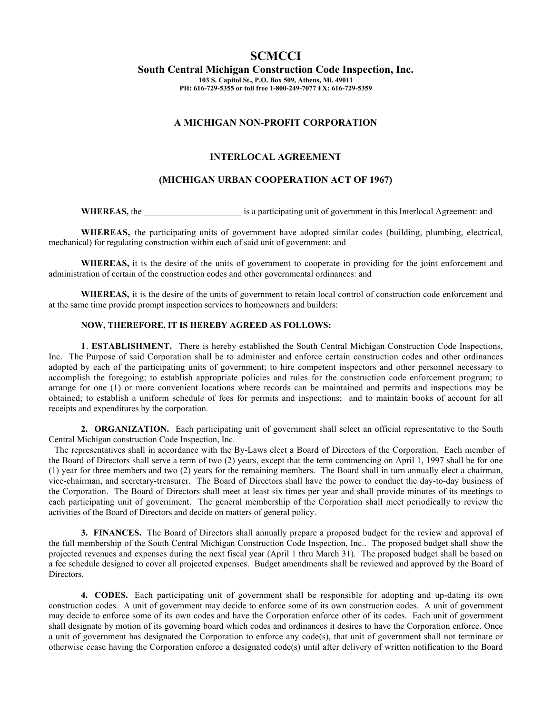# **SCMCCI**

**South Central Michigan Construction Code Inspection, Inc.**

**103 S. Capitol St., P.O. Box 509, Athens, Mi. 49011 PH: 616-729-5355 or toll free 1-800-249-7077 FX: 616-729-5359**

## **A MICHIGAN NON-PROFIT CORPORATION**

# **INTERLOCAL AGREEMENT**

## **(MICHIGAN URBAN COOPERATION ACT OF 1967)**

**WHEREAS, the <br>
<b>EXECUTE:** is a participating unit of government in this Interlocal Agreement: and

**WHEREAS,** the participating units of government have adopted similar codes (building, plumbing, electrical, mechanical) for regulating construction within each of said unit of government: and

**WHEREAS,** it is the desire of the units of government to cooperate in providing for the joint enforcement and administration of certain of the construction codes and other governmental ordinances: and

**WHEREAS,** it is the desire of the units of government to retain local control of construction code enforcement and at the same time provide prompt inspection services to homeowners and builders:

#### **NOW, THEREFORE, IT IS HEREBY AGREED AS FOLLOWS:**

**1**. **ESTABLISHMENT.** There is hereby established the South Central Michigan Construction Code Inspections, Inc. The Purpose of said Corporation shall be to administer and enforce certain construction codes and other ordinances adopted by each of the participating units of government; to hire competent inspectors and other personnel necessary to accomplish the foregoing; to establish appropriate policies and rules for the construction code enforcement program; to arrange for one (1) or more convenient locations where records can be maintained and permits and inspections may be obtained; to establish a uniform schedule of fees for permits and inspections; and to maintain books of account for all receipts and expenditures by the corporation.

**2. ORGANIZATION.** Each participating unit of government shall select an official representative to the South Central Michigan construction Code Inspection, Inc.

 The representatives shall in accordance with the By-Laws elect a Board of Directors of the Corporation. Each member of the Board of Directors shall serve a term of two (2) years, except that the term commencing on April 1, 1997 shall be for one (1) year for three members and two (2) years for the remaining members. The Board shall in turn annually elect a chairman, vice-chairman, and secretary-treasurer. The Board of Directors shall have the power to conduct the day-to-day business of the Corporation. The Board of Directors shall meet at least six times per year and shall provide minutes of its meetings to each participating unit of government. The general membership of the Corporation shall meet periodically to review the activities of the Board of Directors and decide on matters of general policy.

**3. FINANCES.** The Board of Directors shall annually prepare a proposed budget for the review and approval of the full membership of the South Central Michigan Construction Code Inspection, Inc.. The proposed budget shall show the projected revenues and expenses during the next fiscal year (April 1 thru March 31). The proposed budget shall be based on a fee schedule designed to cover all projected expenses. Budget amendments shall be reviewed and approved by the Board of Directors.

**4. CODES.** Each participating unit of government shall be responsible for adopting and up-dating its own construction codes. A unit of government may decide to enforce some of its own construction codes. A unit of government may decide to enforce some of its own codes and have the Corporation enforce other of its codes. Each unit of government shall designate by motion of its governing board which codes and ordinances it desires to have the Corporation enforce. Once a unit of government has designated the Corporation to enforce any code(s), that unit of government shall not terminate or otherwise cease having the Corporation enforce a designated code(s) until after delivery of written notification to the Board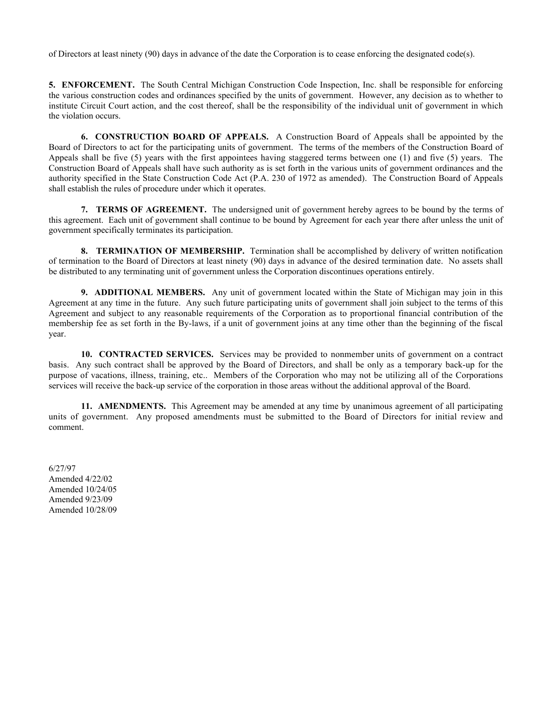of Directors at least ninety (90) days in advance of the date the Corporation is to cease enforcing the designated code(s).

**5. ENFORCEMENT.** The South Central Michigan Construction Code Inspection, Inc. shall be responsible for enforcing the various construction codes and ordinances specified by the units of government. However, any decision as to whether to institute Circuit Court action, and the cost thereof, shall be the responsibility of the individual unit of government in which the violation occurs.

**6. CONSTRUCTION BOARD OF APPEALS.** A Construction Board of Appeals shall be appointed by the Board of Directors to act for the participating units of government. The terms of the members of the Construction Board of Appeals shall be five (5) years with the first appointees having staggered terms between one (1) and five (5) years. The Construction Board of Appeals shall have such authority as is set forth in the various units of government ordinances and the authority specified in the State Construction Code Act (P.A. 230 of 1972 as amended). The Construction Board of Appeals shall establish the rules of procedure under which it operates.

**7. TERMS OF AGREEMENT.** The undersigned unit of government hereby agrees to be bound by the terms of this agreement. Each unit of government shall continue to be bound by Agreement for each year there after unless the unit of government specifically terminates its participation.

**8. TERMINATION OF MEMBERSHIP.** Termination shall be accomplished by delivery of written notification of termination to the Board of Directors at least ninety (90) days in advance of the desired termination date. No assets shall be distributed to any terminating unit of government unless the Corporation discontinues operations entirely.

**9. ADDITIONAL MEMBERS.** Any unit of government located within the State of Michigan may join in this Agreement at any time in the future. Any such future participating units of government shall join subject to the terms of this Agreement and subject to any reasonable requirements of the Corporation as to proportional financial contribution of the membership fee as set forth in the By-laws, if a unit of government joins at any time other than the beginning of the fiscal year.

**10. CONTRACTED SERVICES.** Services may be provided to nonmember units of government on a contract basis. Any such contract shall be approved by the Board of Directors, and shall be only as a temporary back-up for the purpose of vacations, illness, training, etc.. Members of the Corporation who may not be utilizing all of the Corporations services will receive the back-up service of the corporation in those areas without the additional approval of the Board.

**11. AMENDMENTS.** This Agreement may be amended at any time by unanimous agreement of all participating units of government. Any proposed amendments must be submitted to the Board of Directors for initial review and comment.

6/27/97 Amended 4/22/02 Amended 10/24/05 Amended 9/23/09 Amended 10/28/09